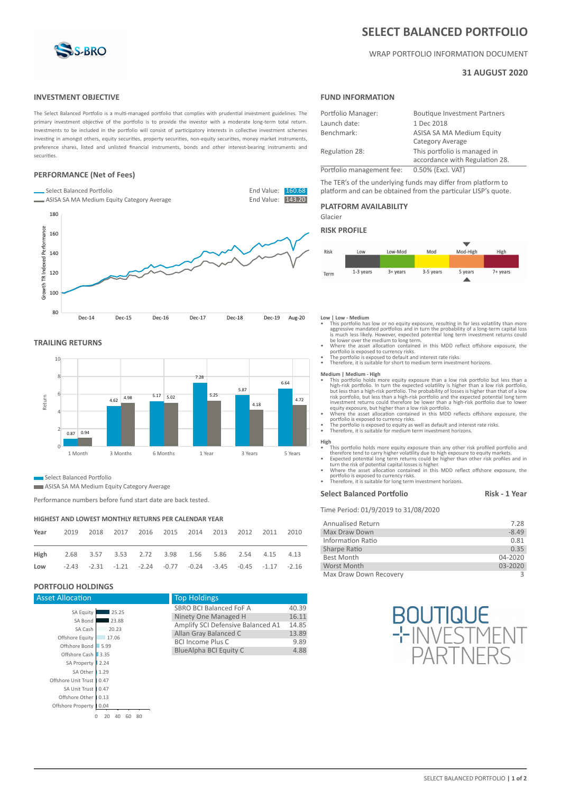

# **SELECT BALANCED PORTFOLIO**

# WRAP PORTFOLIO INFORMATION DOCUMENT

# **31 AUGUST 2020**

# **INVESTMENT OBJECTIVE**

The Select Balanced Portfolio is a multi-managed portfolio that complies with prudential investment guidelines. The primary investment objective of the portfolio is to provide the investor with a moderate long-term total return. Investments to be included in the portfolio will consist of participatory interests in collective investment schemes investing in amongst others, equity securities, property securities, non-equity securities, money market instruments, preference shares, listed and unlisted financial instruments, bonds and other interest-bearing instruments and securities.

# **PERFORMANCE (Net of Fees)**



# **TRAILING RETURNS**



# **Select Balanced Portfolio**

**ASISA SA MA Medium Equity Category Average** 

Performance numbers before fund start date are back tested.

### **HIGHEST AND LOWEST MONTHLY RETURNS PER CALENDAR YEAR**

| Year                                                                                | 2019 2018 2017 2016 2015 2014 2013 2012 2011 2010 |  |  |  |  |
|-------------------------------------------------------------------------------------|---------------------------------------------------|--|--|--|--|
| High 2.68 3.57 3.53 2.72 3.98 1.56 5.86 2.54 4.15 4.13                              |                                                   |  |  |  |  |
| Low $-2.43$ $-2.31$ $-1.21$ $-2.24$ $-0.77$ $-0.24$ $-3.45$ $-0.45$ $-1.17$ $-2.16$ |                                                   |  |  |  |  |

# **PORTFOLIO HOLDINGS**

| <b>Asset Allocation</b>    |                      | <b>Top Holdings</b>               |       |  |  |  |  |  |
|----------------------------|----------------------|-----------------------------------|-------|--|--|--|--|--|
| SA Equity                  | 25.25                | SBRO BCI Balanced FoF A           | 40.39 |  |  |  |  |  |
| SA Bond                    | 23.88                | Ninety One Managed H              |       |  |  |  |  |  |
|                            |                      | Amplify SCI Defensive Balanced A1 | 14.85 |  |  |  |  |  |
| SA Cash                    | 20.23                | Allan Gray Balanced C             |       |  |  |  |  |  |
| Offshore Equity            | 17.06                | <b>BCI Income Plus C</b>          | 9.89  |  |  |  |  |  |
| Offshore Bond              | 5.99                 | BlueAlpha BCI Equity C            | 4.88  |  |  |  |  |  |
| Offshore Cash              | 3.35                 |                                   |       |  |  |  |  |  |
| SA Property                | 2.24                 |                                   |       |  |  |  |  |  |
| SA Other                   | 1.29                 |                                   |       |  |  |  |  |  |
| Offshore Unit Trust   0.47 |                      |                                   |       |  |  |  |  |  |
| SA Unit Trust              | 0.47                 |                                   |       |  |  |  |  |  |
| Offshore Other             | 0.13                 |                                   |       |  |  |  |  |  |
| Offshore Property          | 0.04                 |                                   |       |  |  |  |  |  |
| 0                          | 80<br>20<br>40<br>60 |                                   |       |  |  |  |  |  |

# **FUND INFORMATION**

| Portfolio Manager:        | <b>Boutique Investment Partners</b>                            |  |  |  |  |  |
|---------------------------|----------------------------------------------------------------|--|--|--|--|--|
| Launch date:              | 1 Dec 2018                                                     |  |  |  |  |  |
| Benchmark:                | ASISA SA MA Medium Equity<br>Category Average                  |  |  |  |  |  |
| Regulation 28:            | This portfolio is managed in<br>accordance with Regulation 28. |  |  |  |  |  |
| Portfolio management fee: | 0.50% (Excl. VAT)                                              |  |  |  |  |  |

The TER's of the underlying funds may differ from platform to platform and can be obtained from the particular LISP's quote.

### **PLATFORM AVAILABILITY**

Glacier

# **RISK PROFILE**



#### **Low | Low - Medium**

- This portfolio has low or no equity exposure, resulting in far less volatility than more aggressive mandated portfolios and in turn the probability of a long-term capital loss is much less likely. However, expected poten
- 
- 
- Therefore, it is suitable for short to medium term investment horizons.

- Medium | Medium High<br>
 This portfolio holds more equity exposure than a low risk portfolio but less than a<br>
high-risk portfolio. In turn the expected volatility is higher than a low risk portfolio,<br>
but less than a high investment returns could therefore be lower than a high-risk portfolio due to lower
- equity exposure, but higher than a low risk portfolio.<br>
 Where the asset allocation contained in this MDD reflects offshore exposure, the<br>
portfolio is exposed to currency risks.<br>
 The portfolio is exposed to equity as w
- 

- **High** • This portfolio holds more equity exposure than any other risk profiled portfolio and<br>therefore tend to carry higher volatility due to high exposure to equity markets.<br>• Expected potential long term returns could be highe
- 
- 

# **Select Balanced Portfolio Risk - 1 Year**

Time Period: 01/9/2019 to 31/08/2020

| <b>Annualised Return</b> | 7.28        |
|--------------------------|-------------|
| Max Draw Down            | $-8.49$     |
| Information Ratio        | 0.81        |
| Sharpe Ratio             | 0.35        |
| Best Month               | $04 - 2020$ |
| Worst Month              | $03 - 2020$ |
| Max Draw Down Recovery   |             |